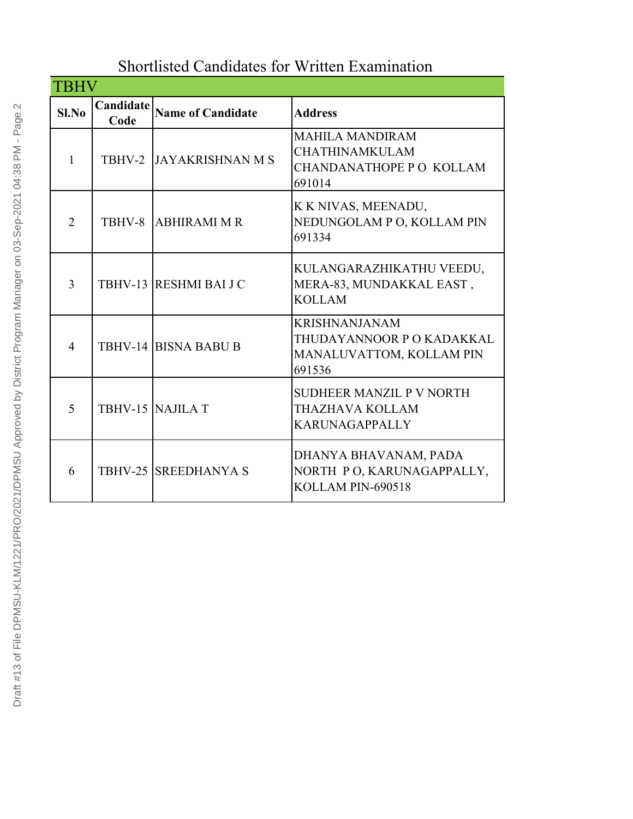## Shortlisted Candidates for Written Examination

| TBHV           |                   |                             |                                                                                         |
|----------------|-------------------|-----------------------------|-----------------------------------------------------------------------------------------|
| $SL$ No        | Candidate<br>Code | <b>Name of Candidate</b>    | <b>Address</b>                                                                          |
| 1              | TBHV-2            | <b>JAYAKRISHNAN M S</b>     | <b>MAHILA MANDIRAM</b><br><b>CHATHINAMKULAM</b><br>CHANDANATHOPE P O KOLLAM<br>691014   |
| $\overline{2}$ | TBHV-8            | <b>ABHIRAMI M R</b>         | K K NIVAS, MEENADU,<br>NEDUNGOLAM P O, KOLLAM PIN<br>691334                             |
| 3              |                   | TBHV-13 RESHMI BAI J C      | KULANGARAZHIKATHU VEEDU,<br>MERA-83, MUNDAKKAL EAST,<br><b>KOLLAM</b>                   |
| 4              |                   | <b>TBHV-14 BISNA BABU B</b> | <b>KRISHNANJANAM</b><br>THUDAYANNOOR P O KADAKKAL<br>MANALUVATTOM, KOLLAM PIN<br>691536 |
| 5              |                   | TBHV-15 NAJILA T            | SUDHEER MANZIL P V NORTH<br>THAZHAVA KOLLAM<br><b>KARUNAGAPPALLY</b>                    |
| 6              |                   | <b>TBHV-25 SREEDHANYA S</b> | DHANYA BHAVANAM, PADA<br>NORTH PO, KARUNAGAPPALLY,<br>KOLLAM PIN-690518                 |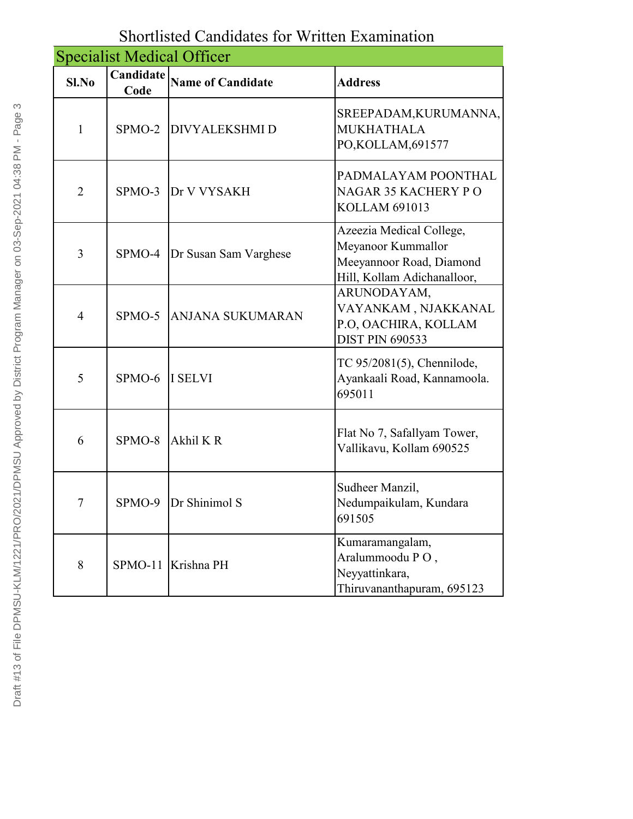| <b>Specialist Medical Officer</b> |                   |                          |                                                                                                           |
|-----------------------------------|-------------------|--------------------------|-----------------------------------------------------------------------------------------------------------|
| Sl.No                             | Candidate<br>Code | <b>Name of Candidate</b> | <b>Address</b>                                                                                            |
| $\mathbf{1}$                      |                   | SPMO-2 DIVYALEKSHMID     | SREEPADAM, KURUMANNA,<br><b>MUKHATHALA</b><br>PO,KOLLAM,691577                                            |
| $\overline{2}$                    | $SPMO-3$          | Dr V VYSAKH              | PADMALAYAM POONTHAL<br><b>NAGAR 35 KACHERY PO</b><br><b>KOLLAM 691013</b>                                 |
| 3                                 | SPMO-4            | Dr Susan Sam Varghese    | Azeezia Medical College,<br>Meyanoor Kummallor<br>Meeyannoor Road, Diamond<br>Hill, Kollam Adichanalloor, |
| $\overline{4}$                    | $SPMO-5$          | <b>ANJANA SUKUMARAN</b>  | ARUNODAYAM,<br>VAYANKAM, NJAKKANAL<br>P.O, OACHIRA, KOLLAM<br><b>DIST PIN 690533</b>                      |
| 5                                 | SPMO-6 I SELVI    |                          | TC 95/2081(5), Chennilode,<br>Ayankaali Road, Kannamoola.<br>695011                                       |
| 6                                 | $SPMO-8$          | Akhil K R                | Flat No 7, Safallyam Tower,<br>Vallikavu, Kollam 690525                                                   |
| 7                                 | SPMO-9            | Dr Shinimol S            | Sudheer Manzil,<br>Nedumpaikulam, Kundara<br>691505                                                       |
| 8                                 |                   | SPMO-11 Krishna PH       | Kumaramangalam,<br>Aralummoodu PO,<br>Neyyattinkara,<br>Thiruvananthapuram, 695123                        |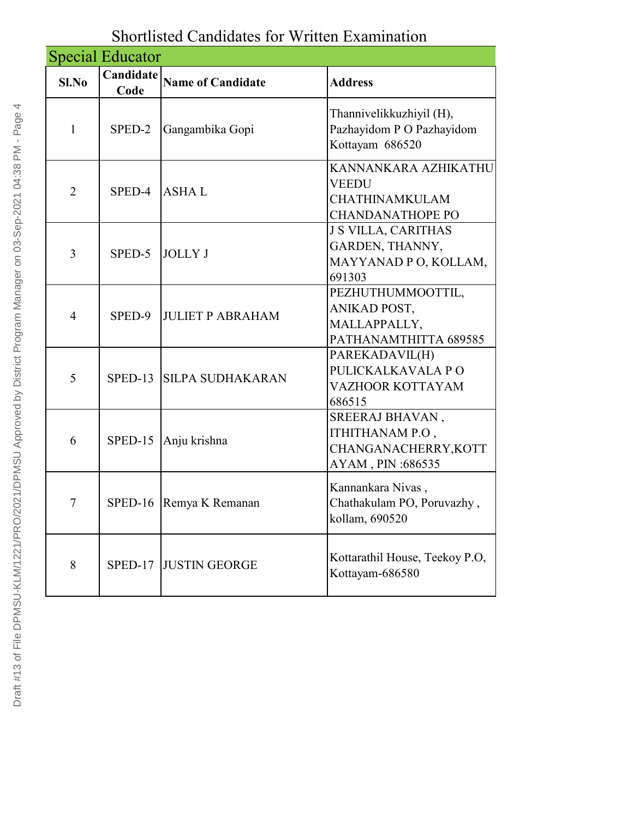|                | <b>Special Educator</b> |                          |                                                                                          |
|----------------|-------------------------|--------------------------|------------------------------------------------------------------------------------------|
| $Sl$ . No      | Candidate<br>Code       | <b>Name of Candidate</b> | <b>Address</b>                                                                           |
| $\mathbf{1}$   | SPED-2                  | Gangambika Gopi          | Thannivelikkuzhiyil (H),<br>Pazhayidom P O Pazhayidom<br>Kottayam 686520                 |
| $\overline{2}$ | SPED-4                  | <b>ASHAL</b>             | KANNANKARA AZHIKATHU<br><b>VEEDU</b><br><b>CHATHINAMKULAM</b><br><b>CHANDANATHOPE PO</b> |
| 3              | SPED-5                  | <b>JOLLY J</b>           | <b>J S VILLA, CARITHAS</b><br>GARDEN, THANNY,<br>MAYYANAD P O, KOLLAM,<br>691303         |
| $\overline{4}$ | SPED-9                  | <b>JULIET P ABRAHAM</b>  | PEZHUTHUMMOOTTIL,<br>ANIKAD POST,<br>MALLAPPALLY,<br>PATHANAMTHITTA 689585               |
| 5              |                         | SPED-13 SILPA SUDHAKARAN | PAREKADAVIL(H)<br>PULICKALKAVALA PO<br>VAZHOOR KOTTAYAM<br>686515                        |
| 6              | SPED-15                 | Anju krishna             | SREERAJ BHAVAN,<br>ITHITHANAM P.O,<br>CHANGANACHERRY, KOTT<br>AYAM, PIN: 686535          |
| $\overline{7}$ |                         | SPED-16 Remya K Remanan  | Kannankara Nivas,<br>Chathakulam PO, Poruvazhy,<br>kollam, 690520                        |
| 8              | SPED-17                 | <b>JUSTIN GEORGE</b>     | Kottarathil House, Teekoy P.O.<br>Kottayam-686580                                        |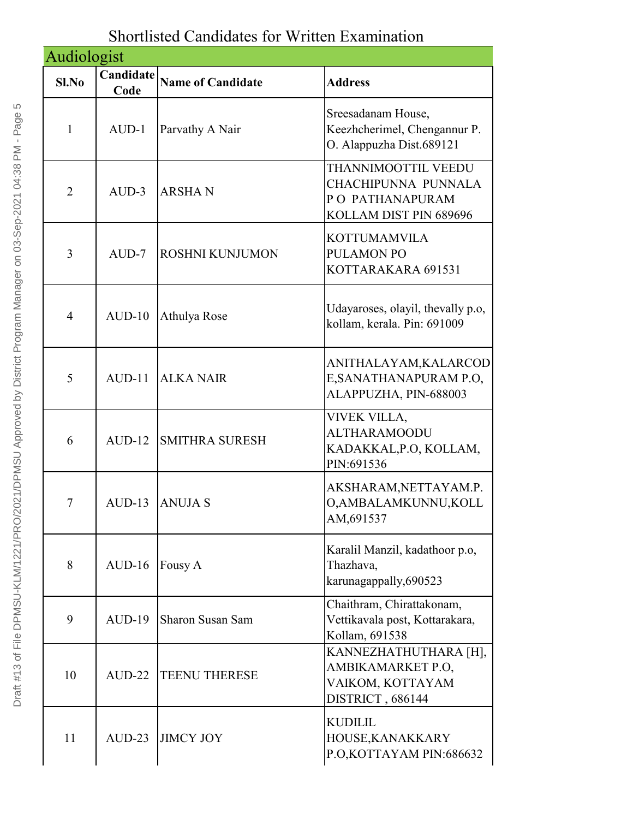## Shortlisted Candidates for Written Examination

| Audiologist    |                   |                          |                                                                                         |
|----------------|-------------------|--------------------------|-----------------------------------------------------------------------------------------|
| Sl.No          | Candidate<br>Code | <b>Name of Candidate</b> | <b>Address</b>                                                                          |
| 1              | $AUD-1$           | Parvathy A Nair          | Sreesadanam House,<br>Keezhcherimel, Chengannur P.<br>O. Alappuzha Dist.689121          |
| $\overline{2}$ | $AUD-3$           | <b>ARSHAN</b>            | THANNIMOOTTIL VEEDU<br>CHACHIPUNNA PUNNALA<br>PO PATHANAPURAM<br>KOLLAM DIST PIN 689696 |
| 3              | $AUD-7$           | <b>ROSHNI KUNJUMON</b>   | <b>KOTTUMAMVILA</b><br><b>PULAMON PO</b><br>KOTTARAKARA 691531                          |
| $\overline{4}$ | $AUD-10$          | Athulya Rose             | Udayaroses, olayil, the vally p.o.<br>kollam, kerala. Pin: 691009                       |
| 5              | $AUD-11$          | <b>ALKA NAIR</b>         | ANITHALAYAM, KALARCOD<br>E, SANATHANAPURAM P.O.<br>ALAPPUZHA, PIN-688003                |
| 6              | $AUD-12$          | <b>SMITHRA SURESH</b>    | VIVEK VILLA,<br><b>ALTHARAMOODU</b><br>KADAKKAL, P.O., KOLLAM,<br>PIN:691536            |
| 7              | $AUD-13$          | <b>ANUJA S</b>           | AKSHARAM, NETTAYAM.P.<br>O, AMBALAMKUNNU, KOLL<br>AM, 691537                            |
| 8              | $AUD-16$          | Fousy A                  | Karalil Manzil, kadathoor p.o.<br>Thazhava,<br>karunagappally, 690523                   |
| 9              | $AUD-19$          | <b>Sharon Susan Sam</b>  | Chaithram, Chirattakonam,<br>Vettikavala post, Kottarakara,<br>Kollam, 691538           |
| 10             | $AUD-22$          | <b>TEENU THERESE</b>     | KANNEZHATHUTHARA [H],<br>AMBIKAMARKET P.O.<br>VAIKOM, KOTTAYAM<br>DISTRICT, 686144      |
| 11             | $AUD-23$          | <b>JIMCY JOY</b>         | <b>KUDILIL</b><br>HOUSE, KANAKKARY<br>P.O, KOTTAYAM PIN: 686632                         |